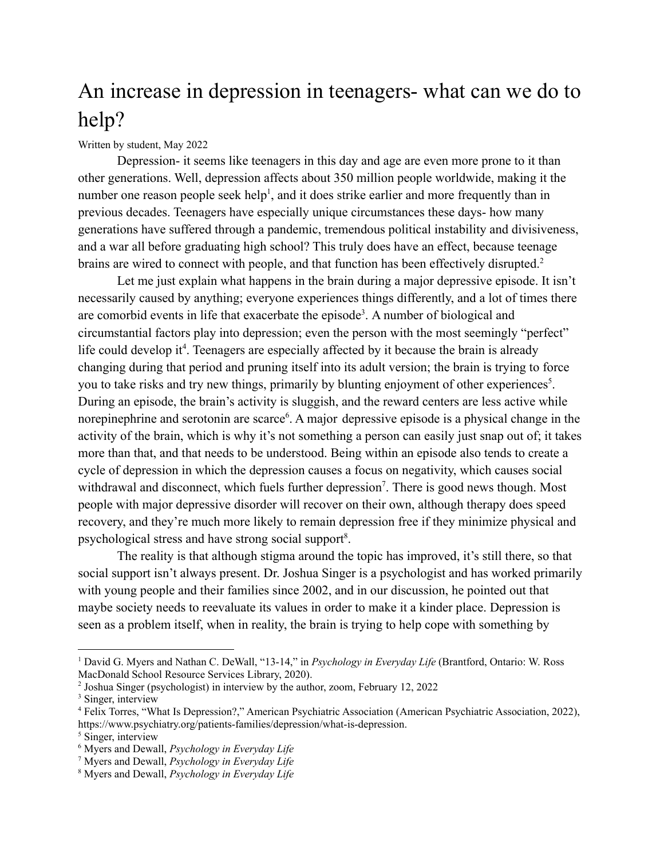## An increase in depression in teenagers- what can we do to help?

## Written by student, May 2022

Depression- it seems like teenagers in this day and age are even more prone to it than other generations. Well, depression affects about 350 million people worldwide, making it the number one reason people seek help<sup>1</sup>, and it does strike earlier and more frequently than in previous decades. Teenagers have especially unique circumstances these days- how many generations have suffered through a pandemic, tremendous political instability and divisiveness, and a war all before graduating high school? This truly does have an effect, because teenage brains are wired to connect with people, and that function has been effectively disrupted.<sup>2</sup>

Let me just explain what happens in the brain during a major depressive episode. It isn't necessarily caused by anything; everyone experiences things differently, and a lot of times there are comorbid events in life that exacerbate the episode<sup>3</sup>. A number of biological and circumstantial factors play into depression; even the person with the most seemingly "perfect" life could develop it<sup>4</sup>. Teenagers are especially affected by it because the brain is already changing during that period and pruning itself into its adult version; the brain is trying to force you to take risks and try new things, primarily by blunting enjoyment of other experiences<sup>5</sup>. During an episode, the brain's activity is sluggish, and the reward centers are less active while norepinephrine and serotonin are scarce<sup>6</sup>. A major depressive episode is a physical change in the activity of the brain, which is why it's not something a person can easily just snap out of; it takes more than that, and that needs to be understood. Being within an episode also tends to create a cycle of depression in which the depression causes a focus on negativity, which causes social withdrawal and disconnect, which fuels further depression<sup>7</sup>. There is good news though. Most people with major depressive disorder will recover on their own, although therapy does speed recovery, and they're much more likely to remain depression free if they minimize physical and psychological stress and have strong social support<sup>8</sup>.

The reality is that although stigma around the topic has improved, it's still there, so that social support isn't always present. Dr. Joshua Singer is a psychologist and has worked primarily with young people and their families since 2002, and in our discussion, he pointed out that maybe society needs to reevaluate its values in order to make it a kinder place. Depression is seen as a problem itself, when in reality, the brain is trying to help cope with something by

<sup>1</sup> David G. Myers and Nathan C. DeWall, "13-14," in *Psychology in Everyday Life* (Brantford, Ontario: W. Ross MacDonald School Resource Services Library, 2020).

<sup>2</sup> Joshua Singer (psychologist) in interview by the author, zoom, February 12, 2022

<sup>&</sup>lt;sup>3</sup> Singer, interview

<sup>4</sup> Felix Torres, "What Is Depression?," American Psychiatric Association (American Psychiatric Association, 2022), https://www.psychiatry.org/patients-families/depression/what-is-depression.

<sup>&</sup>lt;sup>5</sup> Singer, interview

<sup>6</sup> Myers and Dewall, *Psychology in Everyday Life*

<sup>7</sup> Myers and Dewall, *Psychology in Everyday Life*

<sup>8</sup> Myers and Dewall, *Psychology in Everyday Life*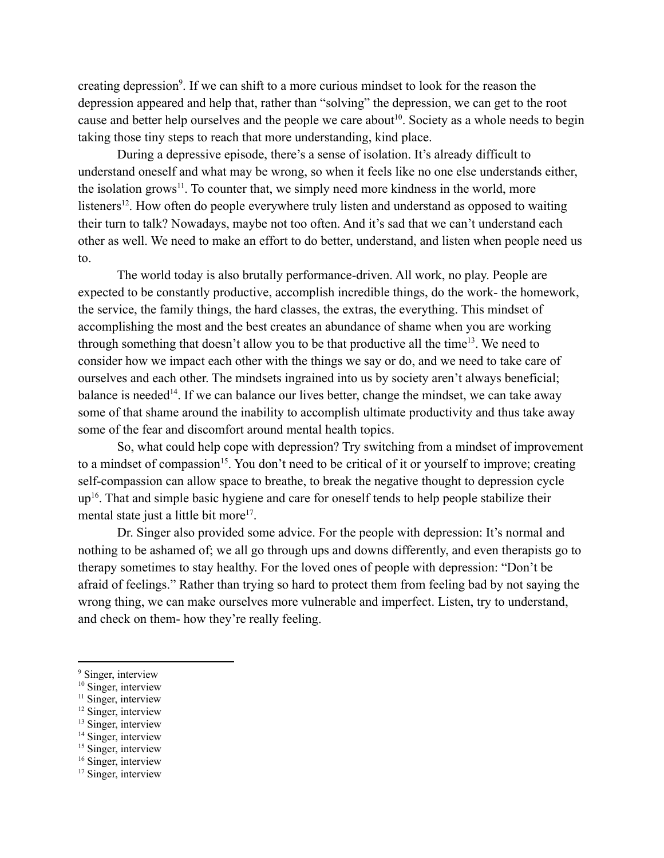creating depression<sup>9</sup>. If we can shift to a more curious mindset to look for the reason the depression appeared and help that, rather than "solving" the depression, we can get to the root cause and better help ourselves and the people we care about<sup>10</sup>. Society as a whole needs to begin taking those tiny steps to reach that more understanding, kind place.

During a depressive episode, there's a sense of isolation. It's already difficult to understand oneself and what may be wrong, so when it feels like no one else understands either, the isolation grows<sup>11</sup>. To counter that, we simply need more kindness in the world, more listeners<sup>12</sup>. How often do people everywhere truly listen and understand as opposed to waiting their turn to talk? Nowadays, maybe not too often. And it's sad that we can't understand each other as well. We need to make an effort to do better, understand, and listen when people need us to.

The world today is also brutally performance-driven. All work, no play. People are expected to be constantly productive, accomplish incredible things, do the work- the homework, the service, the family things, the hard classes, the extras, the everything. This mindset of accomplishing the most and the best creates an abundance of shame when you are working through something that doesn't allow you to be that productive all the time<sup>13</sup>. We need to consider how we impact each other with the things we say or do, and we need to take care of ourselves and each other. The mindsets ingrained into us by society aren't always beneficial; balance is needed<sup>14</sup>. If we can balance our lives better, change the mindset, we can take away some of that shame around the inability to accomplish ultimate productivity and thus take away some of the fear and discomfort around mental health topics.

So, what could help cope with depression? Try switching from a mindset of improvement to a mindset of compassion<sup>15</sup>. You don't need to be critical of it or yourself to improve; creating self-compassion can allow space to breathe, to break the negative thought to depression cycle up<sup>16</sup>. That and simple basic hygiene and care for oneself tends to help people stabilize their mental state just a little bit more<sup>17</sup>.

Dr. Singer also provided some advice. For the people with depression: It's normal and nothing to be ashamed of; we all go through ups and downs differently, and even therapists go to therapy sometimes to stay healthy. For the loved ones of people with depression: "Don't be afraid of feelings." Rather than trying so hard to protect them from feeling bad by not saying the wrong thing, we can make ourselves more vulnerable and imperfect. Listen, try to understand, and check on them- how they're really feeling.

- <sup>11</sup> Singer, interview
- <sup>12</sup> Singer, interview
- <sup>13</sup> Singer, interview
- <sup>14</sup> Singer, interview
- <sup>15</sup> Singer, interview
- <sup>16</sup> Singer, interview
- <sup>17</sup> Singer, interview

<sup>&</sup>lt;sup>9</sup> Singer, interview

<sup>&</sup>lt;sup>10</sup> Singer, interview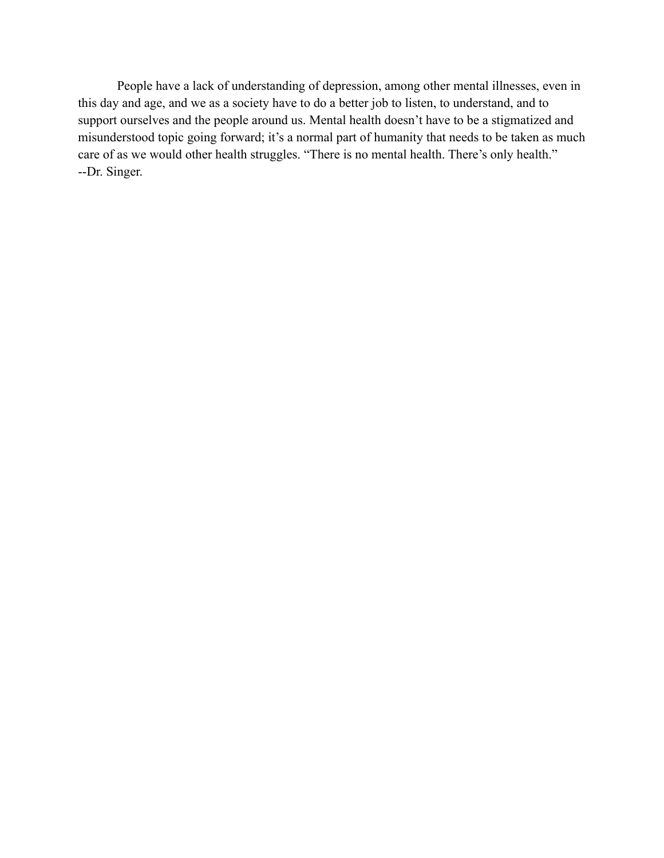People have a lack of understanding of depression, among other mental illnesses, even in this day and age, and we as a society have to do a better job to listen, to understand, and to support ourselves and the people around us. Mental health doesn't have to be a stigmatized and misunderstood topic going forward; it's a normal part of humanity that needs to be taken as much care of as we would other health struggles. "There is no mental health. There's only health." --Dr. Singer.